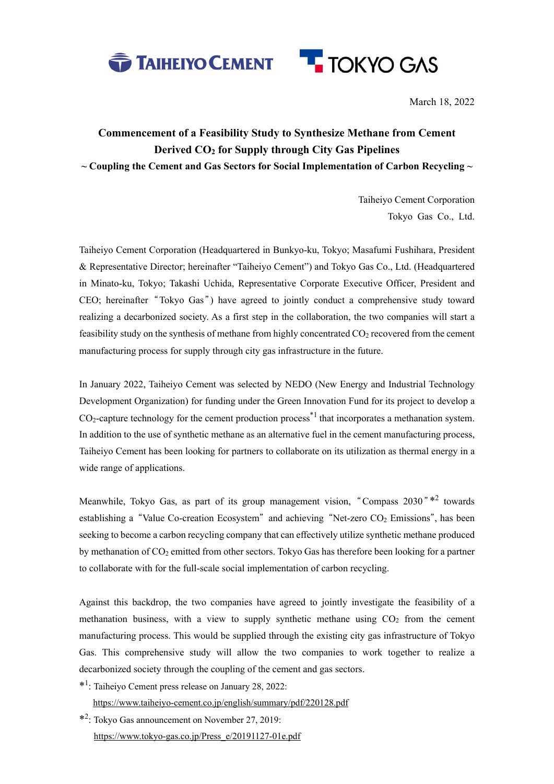



March 18, 2022

## **Commencement of a Feasibility Study to Synthesize Methane from Cement Derived CO2 for Supply through City Gas Pipelines ~ Coupling the Cement and Gas Sectors for Social Implementation of Carbon Recycling ~**

Taiheiyo Cement Corporation Tokyo Gas Co., Ltd.

Taiheiyo Cement Corporation (Headquartered in Bunkyo-ku, Tokyo; Masafumi Fushihara, President & Representative Director; hereinafter "Taiheiyo Cement") and Tokyo Gas Co., Ltd. (Headquartered in Minato-ku, Tokyo; Takashi Uchida, Representative Corporate Executive Officer, President and CEO; hereinafter "Tokyo Gas ") have agreed to jointly conduct a comprehensive study toward realizing a decarbonized society. As a first step in the collaboration, the two companies will start a feasibility study on the synthesis of methane from highly concentrated  $CO<sub>2</sub>$  recovered from the cement manufacturing process for supply through city gas infrastructure in the future.

In January 2022, Taiheiyo Cement was selected by NEDO (New Energy and Industrial Technology Development Organization) for funding under the Green Innovation Fund for its project to develop a CO<sub>2</sub>-capture technology for the cement production process<sup>\*1</sup> that incorporates a methanation system. In addition to the use of synthetic methane as an alternative fuel in the cement manufacturing process, Taiheiyo Cement has been looking for partners to collaborate on its utilization as thermal energy in a wide range of applications.

Meanwhile, Tokyo Gas, as part of its group management vision, "Compass 2030"\*<sup>2</sup> towards establishing a "Value Co-creation Ecosystem" and achieving "Net-zero CO<sub>2</sub> Emissions", has been seeking to become a carbon recycling company that can effectively utilize synthetic methane produced by methanation of  $CO<sub>2</sub>$  emitted from other sectors. Tokyo Gas has therefore been looking for a partner to collaborate with for the full-scale social implementation of carbon recycling.

Against this backdrop, the two companies have agreed to jointly investigate the feasibility of a methanation business, with a view to supply synthetic methane using  $CO<sub>2</sub>$  from the cement manufacturing process. This would be supplied through the existing city gas infrastructure of Tokyo Gas. This comprehensive study will allow the two companies to work together to realize a decarbonized society through the coupling of the cement and gas sectors.

\*1 : Taiheiyo Cement press release on January 28, 2022:

https://www.taiheiyo-cement.co.jp/english/summary/pdf/220128.pdf

\*2 : Tokyo Gas announcement on November 27, 2019: https://www.tokyo-gas.co.jp/Press\_e/20191127-01e.pdf